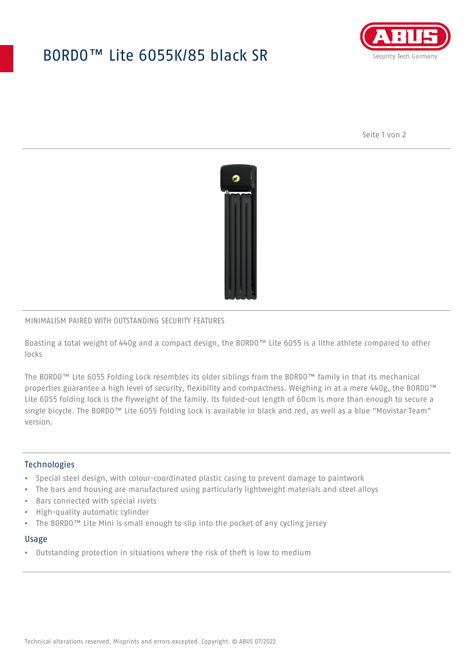## BORDO™ Lite 6055K/85 black SR



Seite 1 von 2



### MINIMALISM PAIRED WITH OUTSTANDING SECURITY FEATURES

Boasting a total weight of 440g and a compact design, the BORDO™ Lite 6055 is a lithe athlete compared to other locks

The BORDO™ Lite 6055 Folding Lock resembles its older siblings from the BORDO™ family in that its mechanical properties guarantee a high level of security, flexibility and compactness. Weighing in at a mere 440g, the BORDO™ Lite 6055 folding lock is the flyweight of the family. Its folded-out length of 60cm is more than enough to secure a single bicycle. The BORDO™ Lite 6055 Folding Lock is available in black and red, as well as a blue "Movistar Team" version.

## **Technologies**

- Special steel design, with colour-coordinated plastic casing to prevent damage to paintwork
- The bars and housing are manufactured using particularly lightweight materials and steel alloys
- Bars connected with special rivets
- High-quality automatic cylinder
- The BORDO™ Lite Mini is small enough to slip into the pocket of any cycling jersey

#### Usage

• Outstanding protection in situations where the risk of theft is low to medium